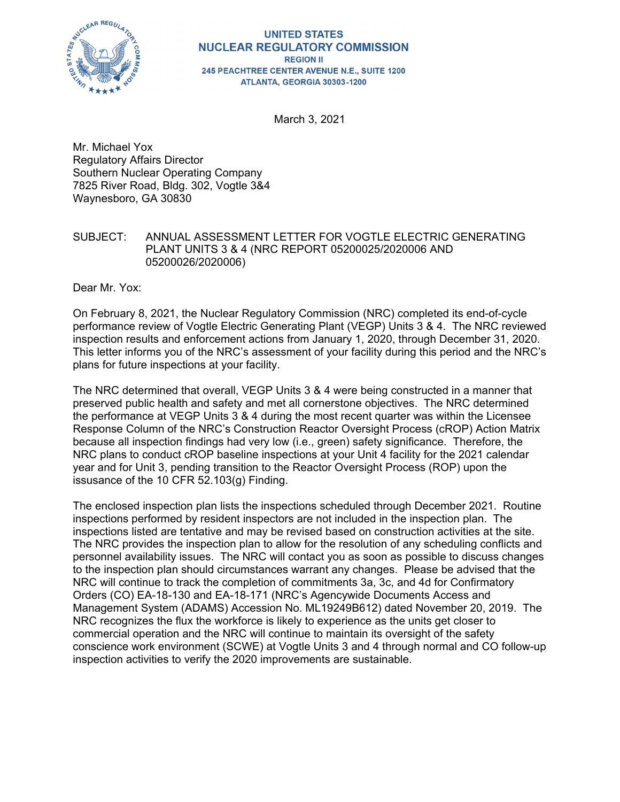

#### **UNITED STATES NUCLEAR REGULATORY COMMISSION REGION II** 245 PEACHTREE CENTER AVENUE N.E., SUITE 1200 ATLANTA, GEORGIA 30303-1200

March 3, 2021

Mr. Michael Yox Regulatory Affairs Director Southern Nuclear Operating Company 7825 River Road, Bldg. 302, Vogtle 3&4 Waynesboro, GA 30830

## SUBJECT: ANNUAL ASSESSMENT LETTER FOR VOGTLE ELECTRIC GENERATING PLANT UNITS 3 & 4 (NRC REPORT 05200025/2020006 AND 05200026/2020006)

Dear Mr. Yox:

On February 8, 2021, the Nuclear Regulatory Commission (NRC) completed its end-of-cycle performance review of Vogtle Electric Generating Plant (VEGP) Units 3 & 4. The NRC reviewed inspection results and enforcement actions from January 1, 2020, through December 31, 2020. This letter informs you of the NRC's assessment of your facility during this period and the NRC's plans for future inspections at your facility.

The NRC determined that overall, VEGP Units 3 & 4 were being constructed in a manner that preserved public health and safety and met all cornerstone objectives. The NRC determined the performance at VEGP Units 3 & 4 during the most recent quarter was within the Licensee Response Column of the NRC's Construction Reactor Oversight Process (cROP) Action Matrix because all inspection findings had very low (i.e., green) safety significance. Therefore, the NRC plans to conduct cROP baseline inspections at your Unit 4 facility for the 2021 calendar year and for Unit 3, pending transition to the Reactor Oversight Process (ROP) upon the issusance of the 10 CFR 52.103(g) Finding.

The enclosed inspection plan lists the inspections scheduled through December 2021. Routine inspections performed by resident inspectors are not included in the inspection plan. The inspections listed are tentative and may be revised based on construction activities at the site. The NRC provides the inspection plan to allow for the resolution of any scheduling conflicts and personnel availability issues. The NRC will contact you as soon as possible to discuss changes to the inspection plan should circumstances warrant any changes. Please be advised that the NRC will continue to track the completion of commitments 3a, 3c, and 4d for Confirmatory Orders (CO) EA-18-130 and EA-18-171 (NRC's Agencywide Documents Access and Management System (ADAMS) Accession No. ML19249B612) dated November 20, 2019. The NRC recognizes the flux the workforce is likely to experience as the units get closer to commercial operation and the NRC will continue to maintain its oversight of the safety conscience work environment (SCWE) at Vogtle Units 3 and 4 through normal and CO follow-up inspection activities to verify the 2020 improvements are sustainable.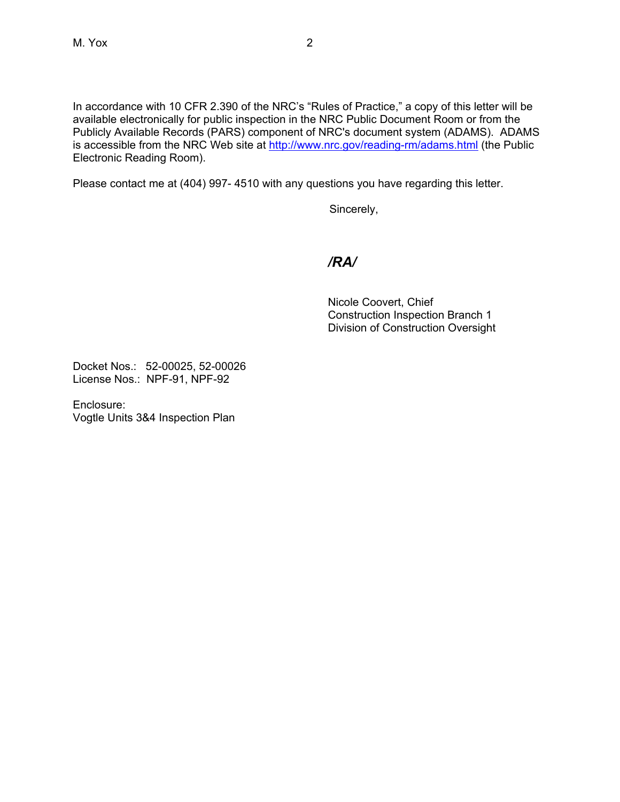In accordance with 10 CFR 2.390 of the NRC's "Rules of Practice," a copy of this letter will be available electronically for public inspection in the NRC Public Document Room or from the Publicly Available Records (PARS) component of NRC's document system (ADAMS). ADAMS is accessible from the NRC Web site at http://www.nrc.gov/reading-rm/adams.html (the Public Electronic Reading Room).

Please contact me at (404) 997- 4510 with any questions you have regarding this letter.

Sincerely,

## */RA/*

Nicole Coovert, Chief Construction Inspection Branch 1 Division of Construction Oversight

Docket Nos.: 52-00025, 52-00026 License Nos.: NPF-91, NPF-92

Enclosure: Vogtle Units 3&4 Inspection Plan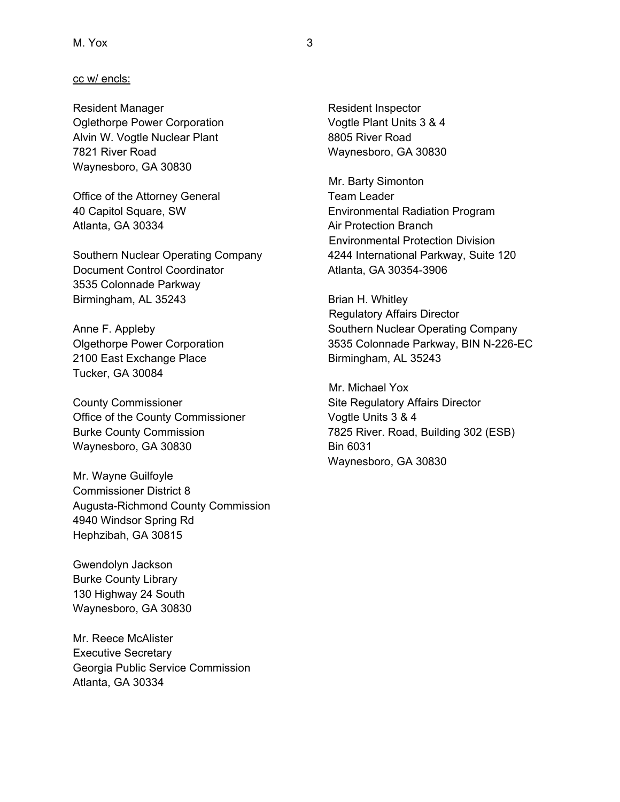#### cc w/ encls:

Resident Manager **Resident Inspector** Resident Inspector Oglethorpe Power Corporation Vogtle Plant Units 3 & 4 Alvin W. Vogtle Nuclear Plant 8805 River Road 7821 River Road Waynesboro, GA 30830 Waynesboro, GA 30830

Office of the Attorney General Team Leader Atlanta, GA 30334 Air Protection Branch

Document Control Coordinator **Atlanta**, GA 30354-3906 3535 Colonnade Parkway Birmingham, AL 35243 Brian H. Whitley

2100 East Exchange Place Birmingham, AL 35243 Tucker, GA 30084

County Commissioner **Site Regulatory Affairs Director** Office of the County Commissioner Vogtle Units 3 & 4 Waynesboro, GA 30830 Bin 6031

Mr. Wayne Guilfoyle Commissioner District 8 Augusta-Richmond County Commission 4940 Windsor Spring Rd Hephzibah, GA 30815

Gwendolyn Jackson Burke County Library 130 Highway 24 South Waynesboro, GA 30830

Mr. Reece McAlister Executive Secretary Georgia Public Service Commission Atlanta, GA 30334

 Mr. Barty Simonton 40 Capitol Square, SW Environmental Radiation Program Environmental Protection Division Southern Nuclear Operating Company 4244 International Parkway, Suite 120

 Regulatory Affairs Director Anne F. Appleby **Southern Nuclear Operating Company** Olgethorpe Power Corporation 3535 Colonnade Parkway, BIN N-226-EC

 Mr. Michael Yox Burke County Commission 7825 River. Road, Building 302 (ESB) Waynesboro, GA 30830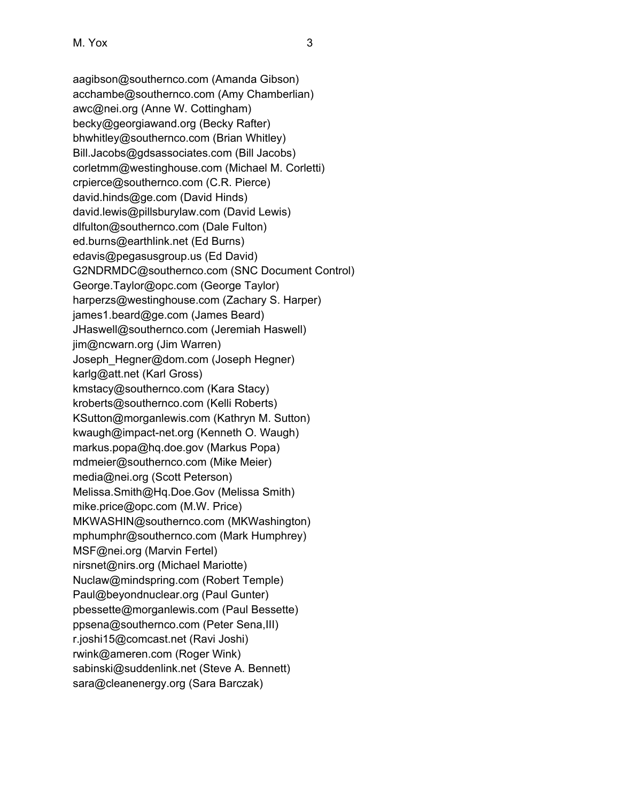aagibson@southernco.com (Amanda Gibson) acchambe@southernco.com (Amy Chamberlian) awc@nei.org (Anne W. Cottingham) becky@georgiawand.org (Becky Rafter) bhwhitley@southernco.com (Brian Whitley) Bill.Jacobs@gdsassociates.com (Bill Jacobs) corletmm@westinghouse.com (Michael M. Corletti) crpierce@southernco.com (C.R. Pierce) david.hinds@ge.com (David Hinds) david.lewis@pillsburylaw.com (David Lewis) dlfulton@southernco.com (Dale Fulton) ed.burns@earthlink.net (Ed Burns) edavis@pegasusgroup.us (Ed David) G2NDRMDC@southernco.com (SNC Document Control) George.Taylor@opc.com (George Taylor) harperzs@westinghouse.com (Zachary S. Harper) james1.beard@ge.com (James Beard) JHaswell@southernco.com (Jeremiah Haswell) jim@ncwarn.org (Jim Warren) Joseph\_Hegner@dom.com (Joseph Hegner) karlg@att.net (Karl Gross) kmstacy@southernco.com (Kara Stacy) kroberts@southernco.com (Kelli Roberts) KSutton@morganlewis.com (Kathryn M. Sutton) kwaugh@impact-net.org (Kenneth O. Waugh) markus.popa@hq.doe.gov (Markus Popa) mdmeier@southernco.com (Mike Meier) media@nei.org (Scott Peterson) Melissa.Smith@Hq.Doe.Gov (Melissa Smith) mike.price@opc.com (M.W. Price) MKWASHIN@southernco.com (MKWashington) mphumphr@southernco.com (Mark Humphrey) MSF@nei.org (Marvin Fertel) nirsnet@nirs.org (Michael Mariotte) Nuclaw@mindspring.com (Robert Temple) Paul@beyondnuclear.org (Paul Gunter) pbessette@morganlewis.com (Paul Bessette) ppsena@southernco.com (Peter Sena,III) r.joshi15@comcast.net (Ravi Joshi) rwink@ameren.com (Roger Wink) sabinski@suddenlink.net (Steve A. Bennett) sara@cleanenergy.org (Sara Barczak)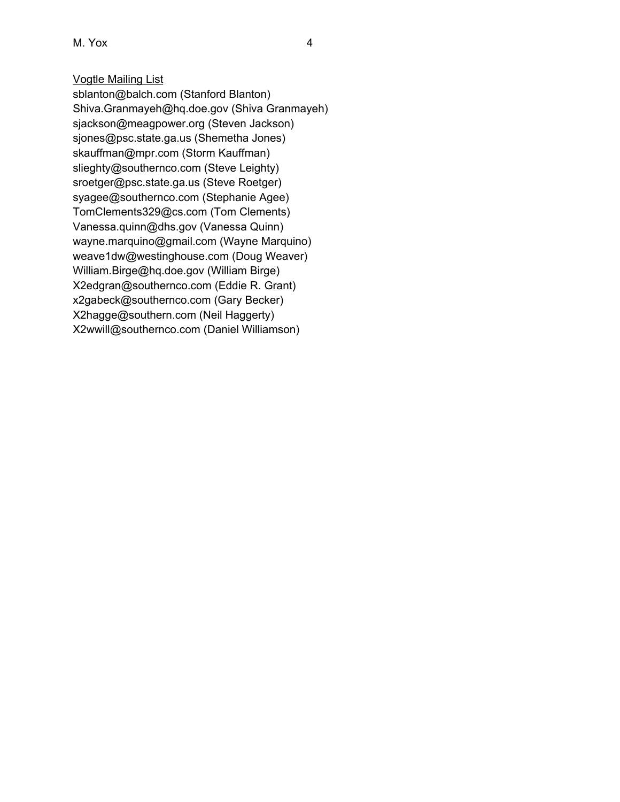M. Yox 4

# Vogtle Mailing List

sblanton@balch.com (Stanford Blanton) Shiva.Granmayeh@hq.doe.gov (Shiva Granmayeh) sjackson@meagpower.org (Steven Jackson) sjones@psc.state.ga.us (Shemetha Jones) skauffman@mpr.com (Storm Kauffman) slieghty@southernco.com (Steve Leighty) sroetger@psc.state.ga.us (Steve Roetger) syagee@southernco.com (Stephanie Agee) TomClements329@cs.com (Tom Clements) Vanessa.quinn@dhs.gov (Vanessa Quinn) wayne.marquino@gmail.com (Wayne Marquino) weave1dw@westinghouse.com (Doug Weaver) William.Birge@hq.doe.gov (William Birge) X2edgran@southernco.com (Eddie R. Grant) x2gabeck@southernco.com (Gary Becker) X2hagge@southern.com (Neil Haggerty) X2wwill@southernco.com (Daniel Williamson)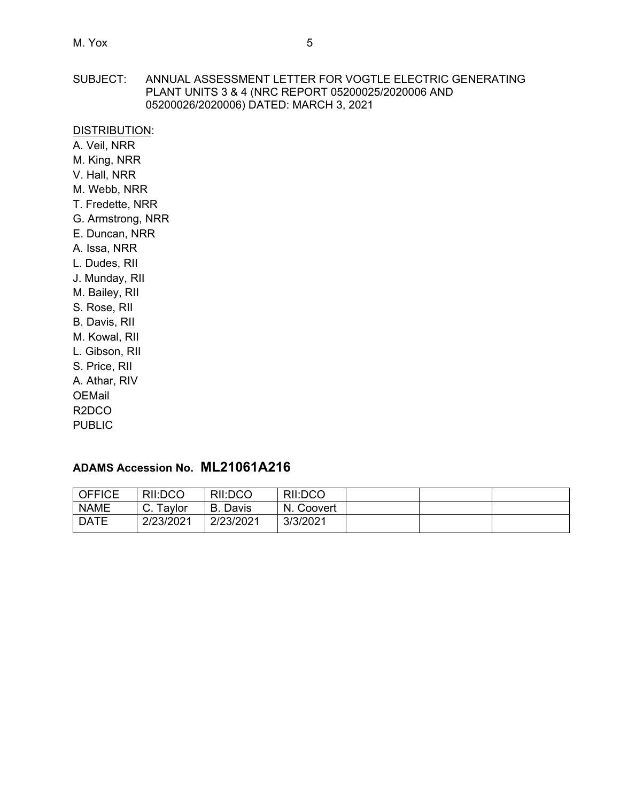### SUBJECT: ANNUAL ASSESSMENT LETTER FOR VOGTLE ELECTRIC GENERATING PLANT UNITS 3 & 4 (NRC REPORT 05200025/2020006 AND 05200026/2020006) DATED: MARCH 3, 2021

### DISTRIBUTION:

A. Veil, NRR M. King, NRR V. Hall, NRR M. Webb, NRR T. Fredette, NRR G. Armstrong, NRR E. Duncan, NRR A. Issa, NRR L. Dudes, RII

J. Munday, RII M. Bailey, RII S. Rose, RII B. Davis, RII M. Kowal, RII L. Gibson, RII S. Price, RII A. Athar, RIV

OEMail R2DCO

PUBLIC

# **ADAMS Accession No. ML21061A216**

| <b>OFFICE</b> | RII:DCO   | RII:DCO     | RII:DCO       |  |  |
|---------------|-----------|-------------|---------------|--|--|
| <b>NAME</b>   | Taylor    | Davis<br>В. | N.<br>Coovert |  |  |
| <b>DATE</b>   | 2/23/2021 | 2/23/2021   | 3/3/2021      |  |  |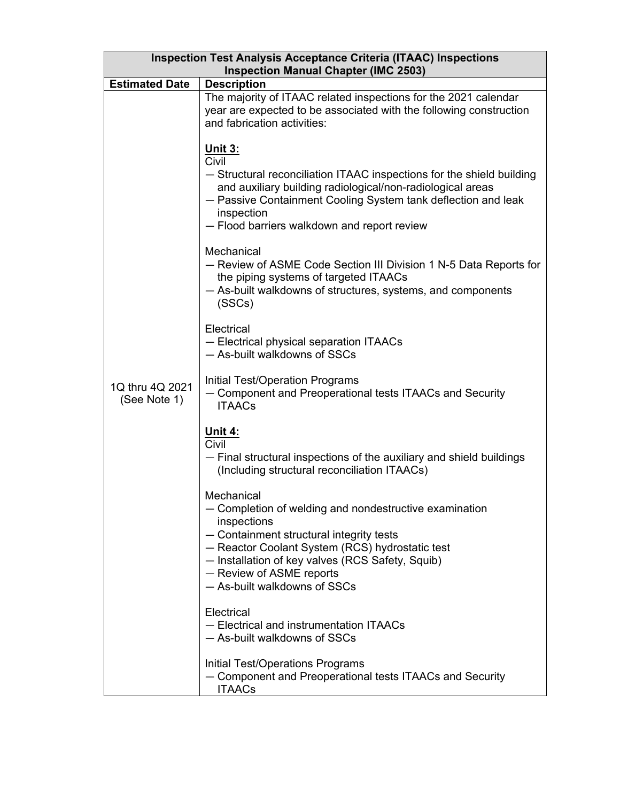| <b>Inspection Test Analysis Acceptance Criteria (ITAAC) Inspections</b><br><b>Inspection Manual Chapter (IMC 2503)</b> |                                                                                                                                                                                                                                                                                                    |  |  |  |  |
|------------------------------------------------------------------------------------------------------------------------|----------------------------------------------------------------------------------------------------------------------------------------------------------------------------------------------------------------------------------------------------------------------------------------------------|--|--|--|--|
| <b>Estimated Date</b><br><b>Description</b>                                                                            |                                                                                                                                                                                                                                                                                                    |  |  |  |  |
|                                                                                                                        | The majority of ITAAC related inspections for the 2021 calendar<br>year are expected to be associated with the following construction<br>and fabrication activities:                                                                                                                               |  |  |  |  |
|                                                                                                                        | <u> Unit 3:</u><br>Civil<br>- Structural reconciliation ITAAC inspections for the shield building<br>and auxiliary building radiological/non-radiological areas<br>- Passive Containment Cooling System tank deflection and leak<br>inspection<br>- Flood barriers walkdown and report review      |  |  |  |  |
|                                                                                                                        | Mechanical<br>- Review of ASME Code Section III Division 1 N-5 Data Reports for<br>the piping systems of targeted ITAACs<br>- As-built walkdowns of structures, systems, and components<br>(SSCs)                                                                                                  |  |  |  |  |
|                                                                                                                        | Electrical<br>- Electrical physical separation ITAACs<br>- As-built walkdowns of SSCs                                                                                                                                                                                                              |  |  |  |  |
| 1Q thru 4Q 2021<br>(See Note 1)                                                                                        | Initial Test/Operation Programs<br>- Component and Preoperational tests ITAACs and Security<br><b>ITAACs</b>                                                                                                                                                                                       |  |  |  |  |
|                                                                                                                        | <u> Unit 4:</u><br>Civil<br>- Final structural inspections of the auxiliary and shield buildings<br>(Including structural reconciliation ITAACs)                                                                                                                                                   |  |  |  |  |
|                                                                                                                        | Mechanical<br>- Completion of welding and nondestructive examination<br>inspections<br>- Containment structural integrity tests<br>- Reactor Coolant System (RCS) hydrostatic test<br>- Installation of key valves (RCS Safety, Squib)<br>- Review of ASME reports<br>- As-built walkdowns of SSCs |  |  |  |  |
|                                                                                                                        | Electrical<br>- Electrical and instrumentation ITAACs<br>- As-built walkdowns of SSCs                                                                                                                                                                                                              |  |  |  |  |
|                                                                                                                        | <b>Initial Test/Operations Programs</b><br>- Component and Preoperational tests ITAACs and Security<br><b>ITAACs</b>                                                                                                                                                                               |  |  |  |  |